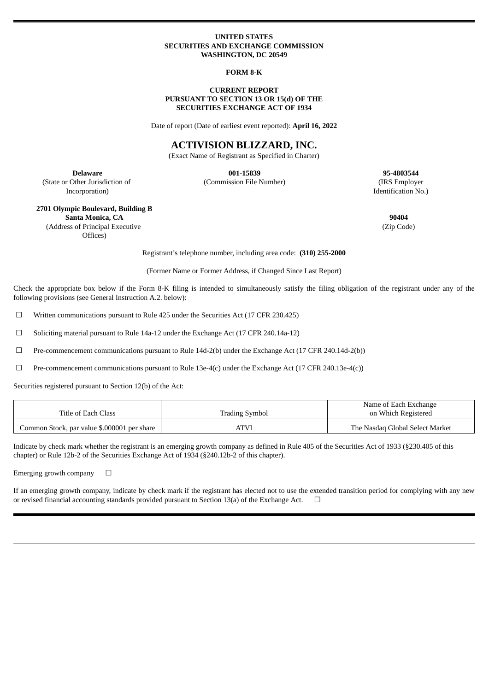#### **UNITED STATES SECURITIES AND EXCHANGE COMMISSION WASHINGTON, DC 20549**

#### **FORM 8-K**

#### **CURRENT REPORT PURSUANT TO SECTION 13 OR 15(d) OF THE SECURITIES EXCHANGE ACT OF 1934**

Date of report (Date of earliest event reported): **April 16, 2022**

# **ACTIVISION BLIZZARD, INC.**

(Exact Name of Registrant as Specified in Charter)

(State or Other Jurisdiction of Incorporation)

**Delaware 001-15839 95-4803544** (Commission File Number) (IRS Employer

Identification No.)

### **2701 Olympic Boulevard, Building B Santa Monica, CA 90404** (Address of Principal Executive

Offices)

(Zip Code)

Registrant's telephone number, including area code: **(310) 255-2000**

(Former Name or Former Address, if Changed Since Last Report)

Check the appropriate box below if the Form 8-K filing is intended to simultaneously satisfy the filing obligation of the registrant under any of the following provisions (see General Instruction A.2. below):

☐ Written communications pursuant to Rule 425 under the Securities Act (17 CFR 230.425)

☐ Soliciting material pursuant to Rule 14a-12 under the Exchange Act (17 CFR 240.14a-12)

☐ Pre-commencement communications pursuant to Rule 14d-2(b) under the Exchange Act (17 CFR 240.14d-2(b))

☐ Pre-commencement communications pursuant to Rule 13e-4(c) under the Exchange Act (17 CFR 240.13e-4(c))

Securities registered pursuant to Section 12(b) of the Act:

|                                             |                | Name of Each Exchange           |
|---------------------------------------------|----------------|---------------------------------|
| Title of Each Class                         | Trading Symbol | on Which Registered             |
| Common Stock, par value \$.000001 per share | <b>ATVI</b>    | The Nasdag Global Select Market |

Indicate by check mark whether the registrant is an emerging growth company as defined in Rule 405 of the Securities Act of 1933 (§230.405 of this chapter) or Rule 12b-2 of the Securities Exchange Act of 1934 (§240.12b-2 of this chapter).

Emerging growth company  $\Box$ 

If an emerging growth company, indicate by check mark if the registrant has elected not to use the extended transition period for complying with any new or revised financial accounting standards provided pursuant to Section 13(a) of the Exchange Act.  $\Box$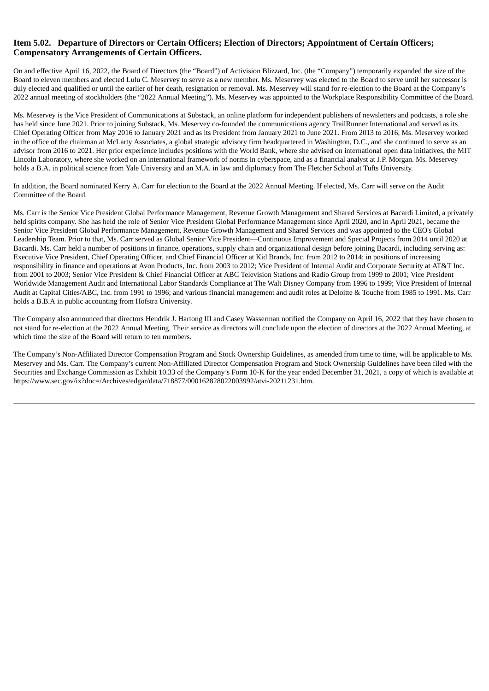# **Item 5.02. Departure of Directors or Certain Officers; Election of Directors; Appointment of Certain Officers; Compensatory Arrangements of Certain Officers.**

On and effective April 16, 2022, the Board of Directors (the "Board") of Activision Blizzard, Inc. (the "Company") temporarily expanded the size of the Board to eleven members and elected Lulu C. Meservey to serve as a new member. Ms. Meservey was elected to the Board to serve until her successor is duly elected and qualified or until the earlier of her death, resignation or removal. Ms. Meservey will stand for re-election to the Board at the Company's 2022 annual meeting of stockholders (the "2022 Annual Meeting"). Ms. Meservey was appointed to the Workplace Responsibility Committee of the Board.

Ms. Meservey is the Vice President of Communications at Substack, an online platform for independent publishers of newsletters and podcasts, a role she has held since June 2021. Prior to joining Substack, Ms. Meservey co-founded the communications agency TrailRunner International and served as its Chief Operating Officer from May 2016 to January 2021 and as its President from January 2021 to June 2021. From 2013 to 2016, Ms. Meservey worked in the office of the chairman at McLarty Associates, a global strategic advisory firm headquartered in Washington, D.C., and she continued to serve as an advisor from 2016 to 2021. Her prior experience includes positions with the World Bank, where she advised on international open data initiatives, the MIT Lincoln Laboratory, where she worked on an international framework of norms in cyberspace, and as a financial analyst at J.P. Morgan. Ms. Meservey holds a B.A. in political science from Yale University and an M.A. in law and diplomacy from The Fletcher School at Tufts University.

In addition, the Board nominated Kerry A. Carr for election to the Board at the 2022 Annual Meeting. If elected, Ms. Carr will serve on the Audit Committee of the Board.

Ms. Carr is the Senior Vice President Global Performance Management, Revenue Growth Management and Shared Services at Bacardi Limited, a privately held spirits company. She has held the role of Senior Vice President Global Performance Management since April 2020, and in April 2021, became the Senior Vice President Global Performance Management, Revenue Growth Management and Shared Services and was appointed to the CEO's Global Leadership Team. Prior to that, Ms. Carr served as Global Senior Vice President—Continuous Improvement and Special Projects from 2014 until 2020 at Bacardi. Ms. Carr held a number of positions in finance, operations, supply chain and organizational design before joining Bacardi, including serving as: Executive Vice President, Chief Operating Officer, and Chief Financial Officer at Kid Brands, Inc. from 2012 to 2014; in positions of increasing responsibility in finance and operations at Avon Products, Inc. from 2003 to 2012; Vice President of Internal Audit and Corporate Security at AT&T Inc. from 2001 to 2003; Senior Vice President & Chief Financial Officer at ABC Television Stations and Radio Group from 1999 to 2001; Vice President Worldwide Management Audit and International Labor Standards Compliance at The Walt Disney Company from 1996 to 1999; Vice President of Internal Audit at Capital Cities/ABC, Inc. from 1991 to 1996; and various financial management and audit roles at Deloitte & Touche from 1985 to 1991. Ms. Carr holds a B.B.A in public accounting from Hofstra University.

The Company also announced that directors Hendrik J. Hartong III and Casey Wasserman notified the Company on April 16, 2022 that they have chosen to not stand for re-election at the 2022 Annual Meeting. Their service as directors will conclude upon the election of directors at the 2022 Annual Meeting, at which time the size of the Board will return to ten members.

The Company's Non-Affiliated Director Compensation Program and Stock Ownership Guidelines, as amended from time to time, will be applicable to Ms. Meservey and Ms. Carr. The Company's current Non-Affiliated Director Compensation Program and Stock Ownership Guidelines have been filed with the Securities and Exchange Commission as Exhibit 10.33 of the Company's Form 10-K for the year ended December 31, 2021, a copy of which is available at https://www.sec.gov/ix?doc=/Archives/edgar/data/718877/000162828022003992/atvi-20211231.htm.